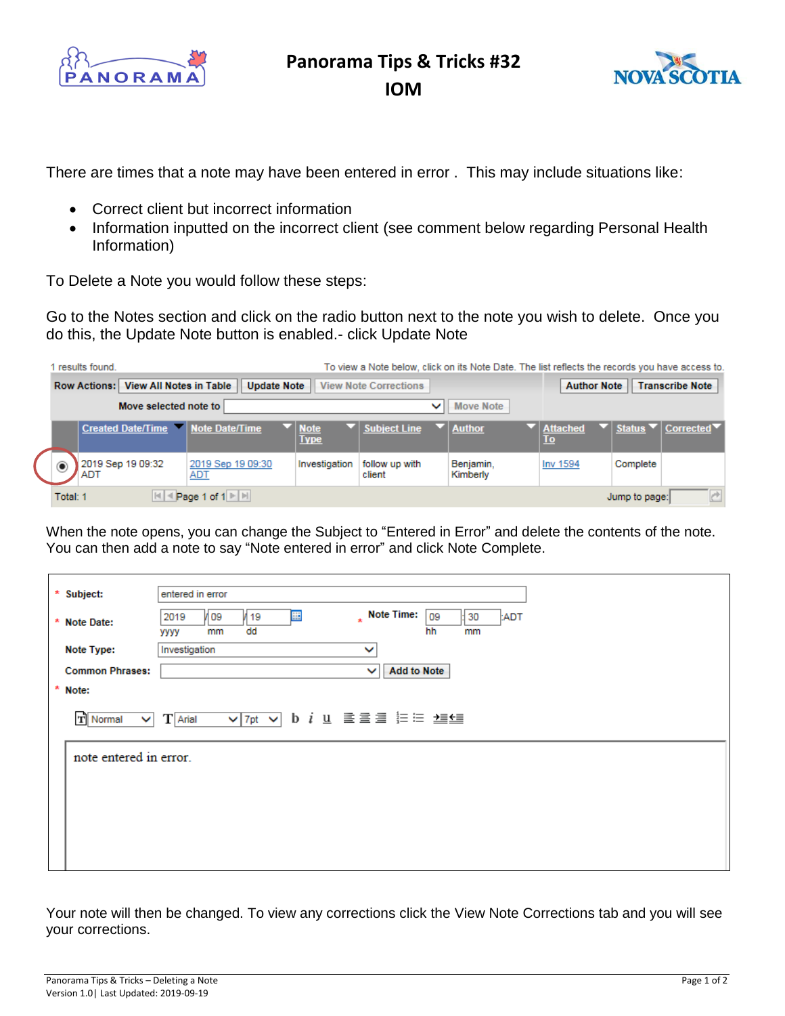

**Panorama Tips & Tricks #32**

**IOM** 



There are times that a note may have been entered in error . This may include situations like:

- Correct client but incorrect information
- Information inputted on the incorrect client (see comment below regarding Personal Health Information)

To Delete a Note you would follow these steps:

Go to the Notes section and click on the radio button next to the note you wish to delete. Once you do this, the Update Note button is enabled.- click Update Note

|                                                              | results found.                  |                                  |                                 |                              | To view a Note below, click on its Note Date. The list reflects the records you have access to. |                             |                                              |                                                                                     |  |
|--------------------------------------------------------------|---------------------------------|----------------------------------|---------------------------------|------------------------------|-------------------------------------------------------------------------------------------------|-----------------------------|----------------------------------------------|-------------------------------------------------------------------------------------|--|
| Row Actions:   View All Notes in Table<br><b>Update Note</b> |                                 |                                  |                                 | <b>View Note Corrections</b> |                                                                                                 |                             | <b>Author Note</b><br><b>Transcribe Note</b> |                                                                                     |  |
| Move selected note to                                        |                                 |                                  |                                 |                              | $\checkmark$                                                                                    | Move Note                   |                                              |                                                                                     |  |
|                                                              |                                 | Created Date/Time Note Date/Time |                                 | Note<br><b>Type</b>          | Subject Line                                                                                    | $\blacktriangledown$ Author | <b>Attached</b><br><u>To</u>                 | $\blacktriangledown$   Status $\blacktriangledown$   Corrected $\blacktriangledown$ |  |
|                                                              | $^\circledR$                    | 2019 Sep 19 09:32<br>ADT         | 2019 Sep 19 09:30<br><u>ADT</u> | Investigation                | follow up with<br>client                                                                        | Benjamin,<br>Kimberly       | Inv 1594                                     | Complete                                                                            |  |
|                                                              | Page 1 of 1        <br>Total: 1 |                                  |                                 |                              |                                                                                                 |                             |                                              | Jump to page:                                                                       |  |

When the note opens, you can change the Subject to "Entered in Error" and delete the contents of the note. You can then add a note to say "Note entered in error" and click Note Complete.

| * Subject:             | entered in error                                                                                                         |  |  |  |  |  |  |  |  |  |
|------------------------|--------------------------------------------------------------------------------------------------------------------------|--|--|--|--|--|--|--|--|--|
| * Note Date:           | Note Time:<br>噩<br>09<br>109<br>30<br>2019<br>/ 19<br>:ADT<br>$\star$<br>dd<br>hh<br>mm<br>mm<br>уууу                    |  |  |  |  |  |  |  |  |  |
| Note Type:             | Investigation<br>$\checkmark$                                                                                            |  |  |  |  |  |  |  |  |  |
| <b>Common Phrases:</b> | <b>Add to Note</b><br>$\checkmark$                                                                                       |  |  |  |  |  |  |  |  |  |
| * Note:                |                                                                                                                          |  |  |  |  |  |  |  |  |  |
| $\mathbf{T}$ Normal    | $\boxed{\vee}$ 7pt $\vee$ b i u $\equiv$ $\equiv$ $\equiv$ $\equiv$ $\equiv$ $\equiv$ $\pm$<br>$T$ Arial<br>$\checkmark$ |  |  |  |  |  |  |  |  |  |
|                        | note entered in error.                                                                                                   |  |  |  |  |  |  |  |  |  |
|                        |                                                                                                                          |  |  |  |  |  |  |  |  |  |
|                        |                                                                                                                          |  |  |  |  |  |  |  |  |  |
|                        |                                                                                                                          |  |  |  |  |  |  |  |  |  |
|                        |                                                                                                                          |  |  |  |  |  |  |  |  |  |
|                        |                                                                                                                          |  |  |  |  |  |  |  |  |  |

Your note will then be changed. To view any corrections click the View Note Corrections tab and you will see your corrections.